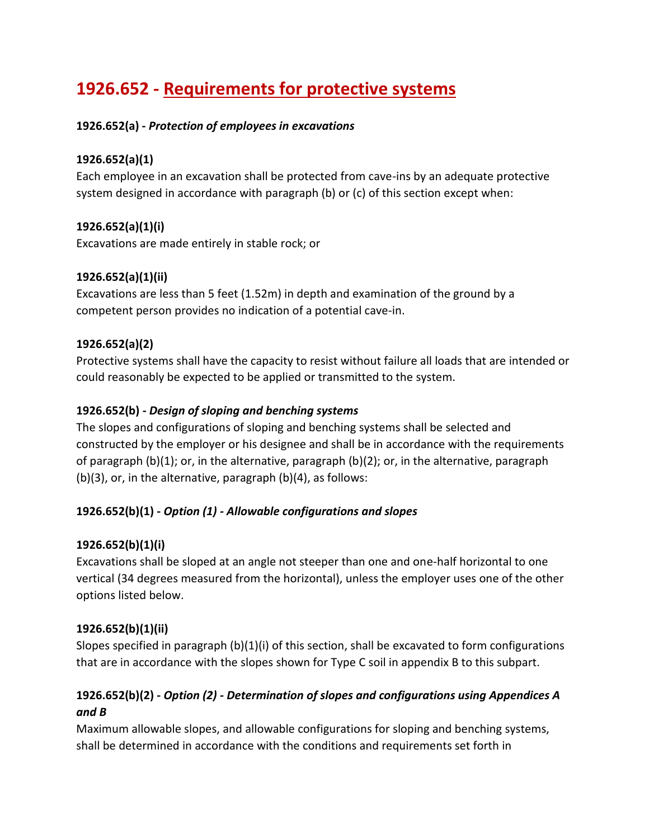# **1926.652 - Requirements for protective systems**

## **1926.652(a) -** *Protection of employees in excavations*

## **1926.652(a)(1)**

Each employee in an excavation shall be protected from cave-ins by an adequate protective system designed in accordance with paragraph (b) or (c) of this section except when:

# **1926.652(a)(1)(i)**

Excavations are made entirely in stable rock; or

# **1926.652(a)(1)(ii)**

Excavations are less than 5 feet (1.52m) in depth and examination of the ground by a competent person provides no indication of a potential cave-in.

# **1926.652(a)(2)**

Protective systems shall have the capacity to resist without failure all loads that are intended or could reasonably be expected to be applied or transmitted to the system.

# **1926.652(b) -** *Design of sloping and benching systems*

The slopes and configurations of sloping and benching systems shall be selected and constructed by the employer or his designee and shall be in accordance with the requirements of paragraph (b)(1); or, in the alternative, paragraph (b)(2); or, in the alternative, paragraph (b)(3), or, in the alternative, paragraph (b)(4), as follows:

# **1926.652(b)(1) -** *Option (1) - Allowable configurations and slopes*

# **1926.652(b)(1)(i)**

Excavations shall be sloped at an angle not steeper than one and one-half horizontal to one vertical (34 degrees measured from the horizontal), unless the employer uses one of the other options listed below.

## **1926.652(b)(1)(ii)**

Slopes specified in paragraph (b)(1)(i) of this section, shall be excavated to form configurations that are in accordance with the slopes shown for Type C soil in appendix B to this subpart.

# **1926.652(b)(2) -** *Option (2) - Determination of slopes and configurations using Appendices A and B*

Maximum allowable slopes, and allowable configurations for sloping and benching systems, shall be determined in accordance with the conditions and requirements set forth in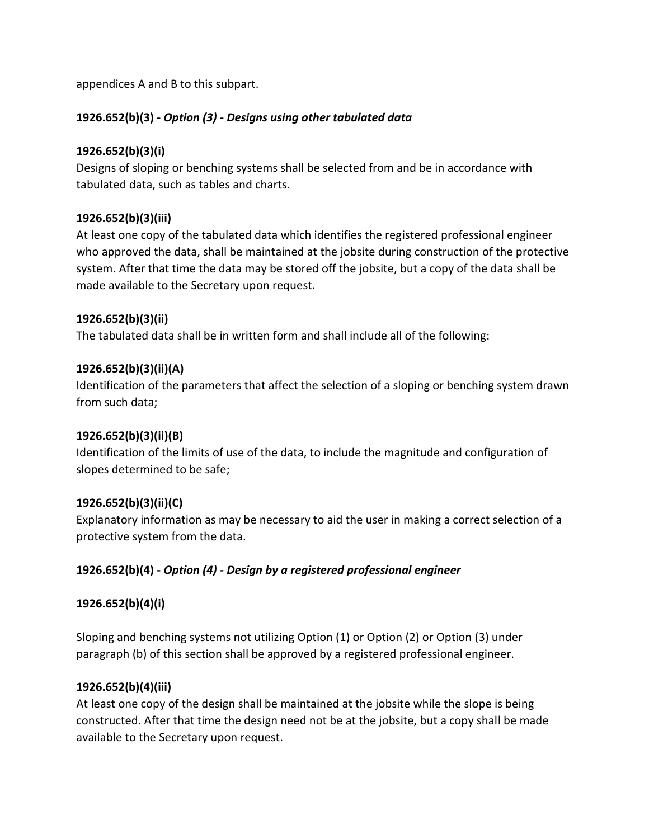appendices A and B to this subpart.

## **1926.652(b)(3) -** *Option (3) - Designs using other tabulated data*

#### **1926.652(b)(3)(i)**

Designs of sloping or benching systems shall be selected from and be in accordance with tabulated data, such as tables and charts.

## **1926.652(b)(3)(iii)**

At least one copy of the tabulated data which identifies the registered professional engineer who approved the data, shall be maintained at the jobsite during construction of the protective system. After that time the data may be stored off the jobsite, but a copy of the data shall be made available to the Secretary upon request.

#### **1926.652(b)(3)(ii)**

The tabulated data shall be in written form and shall include all of the following:

#### **1926.652(b)(3)(ii)(A)**

Identification of the parameters that affect the selection of a sloping or benching system drawn from such data;

#### **1926.652(b)(3)(ii)(B)**

Identification of the limits of use of the data, to include the magnitude and configuration of slopes determined to be safe;

#### **1926.652(b)(3)(ii)(C)**

Explanatory information as may be necessary to aid the user in making a correct selection of a protective system from the data.

#### **1926.652(b)(4) -** *Option (4) - Design by a registered professional engineer*

## **1926.652(b)(4)(i)**

Sloping and benching systems not utilizing Option (1) or Option (2) or Option (3) under paragraph (b) of this section shall be approved by a registered professional engineer.

#### **1926.652(b)(4)(iii)**

At least one copy of the design shall be maintained at the jobsite while the slope is being constructed. After that time the design need not be at the jobsite, but a copy shall be made available to the Secretary upon request.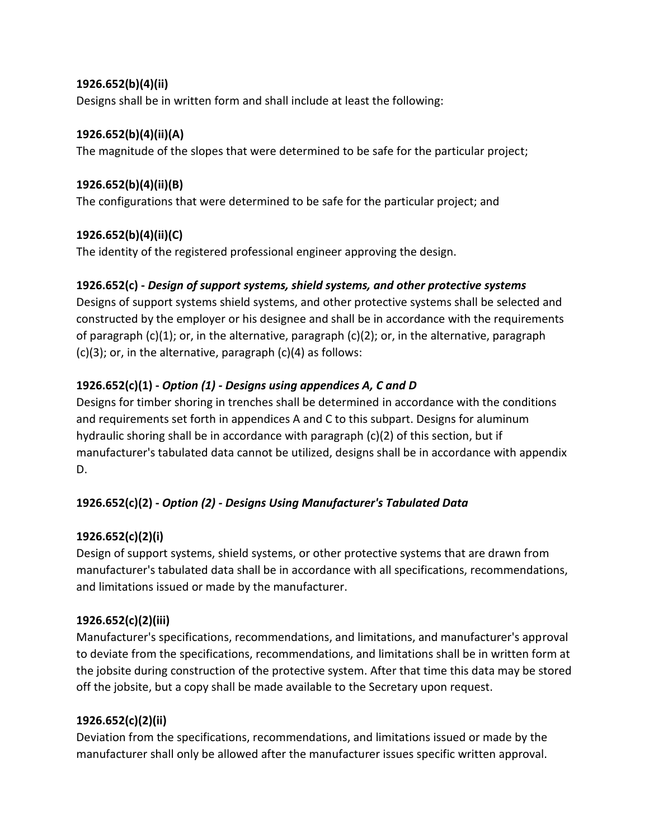## **1926.652(b)(4)(ii)**

Designs shall be in written form and shall include at least the following:

## **1926.652(b)(4)(ii)(A)**

The magnitude of the slopes that were determined to be safe for the particular project;

# **1926.652(b)(4)(ii)(B)**

The configurations that were determined to be safe for the particular project; and

# **1926.652(b)(4)(ii)(C)**

The identity of the registered professional engineer approving the design.

# **1926.652(c) -** *Design of support systems, shield systems, and other protective systems*

Designs of support systems shield systems, and other protective systems shall be selected and constructed by the employer or his designee and shall be in accordance with the requirements of paragraph  $(c)(1)$ ; or, in the alternative, paragraph  $(c)(2)$ ; or, in the alternative, paragraph  $(c)(3)$ ; or, in the alternative, paragraph  $(c)(4)$  as follows:

# **1926.652(c)(1) -** *Option (1) - Designs using appendices A, C and D*

Designs for timber shoring in trenches shall be determined in accordance with the conditions and requirements set forth in appendices A and C to this subpart. Designs for aluminum hydraulic shoring shall be in accordance with paragraph (c)(2) of this section, but if manufacturer's tabulated data cannot be utilized, designs shall be in accordance with appendix D.

# **1926.652(c)(2) -** *Option (2) - Designs Using Manufacturer's Tabulated Data*

# **1926.652(c)(2)(i)**

Design of support systems, shield systems, or other protective systems that are drawn from manufacturer's tabulated data shall be in accordance with all specifications, recommendations, and limitations issued or made by the manufacturer.

# **1926.652(c)(2)(iii)**

Manufacturer's specifications, recommendations, and limitations, and manufacturer's approval to deviate from the specifications, recommendations, and limitations shall be in written form at the jobsite during construction of the protective system. After that time this data may be stored off the jobsite, but a copy shall be made available to the Secretary upon request.

# **1926.652(c)(2)(ii)**

Deviation from the specifications, recommendations, and limitations issued or made by the manufacturer shall only be allowed after the manufacturer issues specific written approval.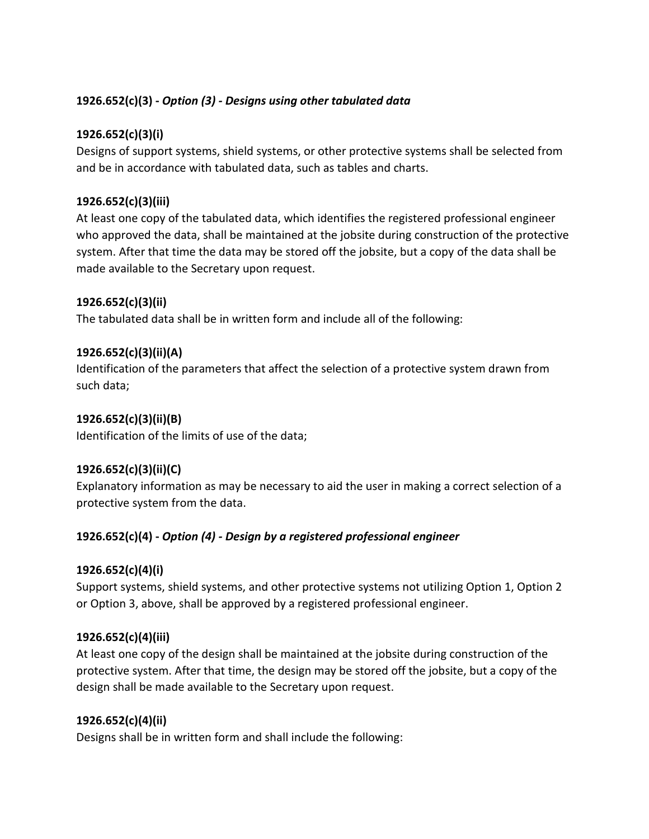# **1926.652(c)(3) -** *Option (3) - Designs using other tabulated data*

## **1926.652(c)(3)(i)**

Designs of support systems, shield systems, or other protective systems shall be selected from and be in accordance with tabulated data, such as tables and charts.

### **1926.652(c)(3)(iii)**

At least one copy of the tabulated data, which identifies the registered professional engineer who approved the data, shall be maintained at the jobsite during construction of the protective system. After that time the data may be stored off the jobsite, but a copy of the data shall be made available to the Secretary upon request.

#### **1926.652(c)(3)(ii)**

The tabulated data shall be in written form and include all of the following:

#### **1926.652(c)(3)(ii)(A)**

Identification of the parameters that affect the selection of a protective system drawn from such data;

#### **1926.652(c)(3)(ii)(B)**

Identification of the limits of use of the data;

## **1926.652(c)(3)(ii)(C)**

Explanatory information as may be necessary to aid the user in making a correct selection of a protective system from the data.

## **1926.652(c)(4) -** *Option (4) - Design by a registered professional engineer*

#### **1926.652(c)(4)(i)**

Support systems, shield systems, and other protective systems not utilizing Option 1, Option 2 or Option 3, above, shall be approved by a registered professional engineer.

#### **1926.652(c)(4)(iii)**

At least one copy of the design shall be maintained at the jobsite during construction of the protective system. After that time, the design may be stored off the jobsite, but a copy of the design shall be made available to the Secretary upon request.

#### **1926.652(c)(4)(ii)**

Designs shall be in written form and shall include the following: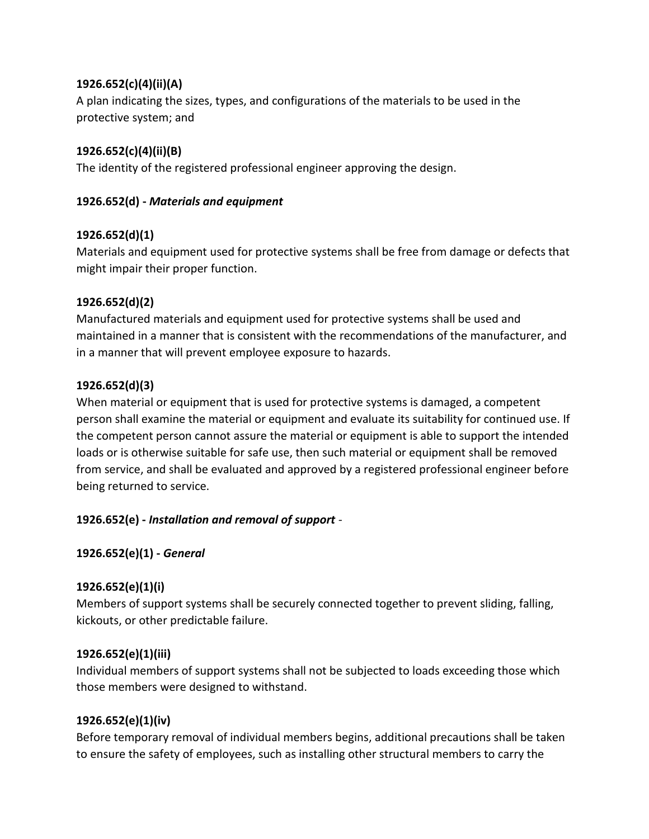## **1926.652(c)(4)(ii)(A)**

A plan indicating the sizes, types, and configurations of the materials to be used in the protective system; and

## **1926.652(c)(4)(ii)(B)**

The identity of the registered professional engineer approving the design.

## **1926.652(d) -** *Materials and equipment*

## **1926.652(d)(1)**

Materials and equipment used for protective systems shall be free from damage or defects that might impair their proper function.

## **1926.652(d)(2)**

Manufactured materials and equipment used for protective systems shall be used and maintained in a manner that is consistent with the recommendations of the manufacturer, and in a manner that will prevent employee exposure to hazards.

# **1926.652(d)(3)**

When material or equipment that is used for protective systems is damaged, a competent person shall examine the material or equipment and evaluate its suitability for continued use. If the competent person cannot assure the material or equipment is able to support the intended loads or is otherwise suitable for safe use, then such material or equipment shall be removed from service, and shall be evaluated and approved by a registered professional engineer before being returned to service.

# **1926.652(e) -** *Installation and removal of support -*

## **1926.652(e)(1) -** *General*

## **1926.652(e)(1)(i)**

Members of support systems shall be securely connected together to prevent sliding, falling, kickouts, or other predictable failure.

## **1926.652(e)(1)(iii)**

Individual members of support systems shall not be subjected to loads exceeding those which those members were designed to withstand.

## **1926.652(e)(1)(iv)**

Before temporary removal of individual members begins, additional precautions shall be taken to ensure the safety of employees, such as installing other structural members to carry the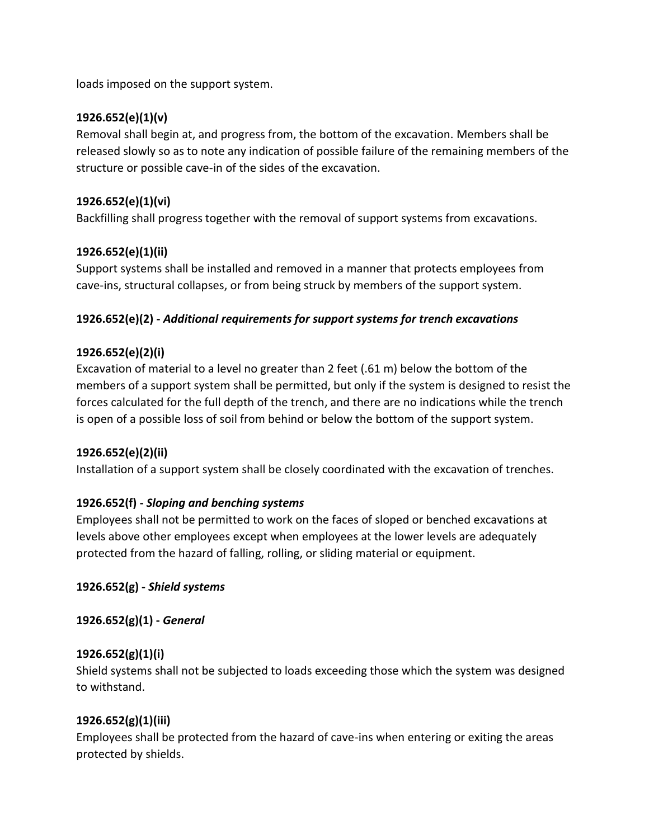loads imposed on the support system.

# **1926.652(e)(1)(v)**

Removal shall begin at, and progress from, the bottom of the excavation. Members shall be released slowly so as to note any indication of possible failure of the remaining members of the structure or possible cave-in of the sides of the excavation.

# **1926.652(e)(1)(vi)**

Backfilling shall progress together with the removal of support systems from excavations.

# **1926.652(e)(1)(ii)**

Support systems shall be installed and removed in a manner that protects employees from cave-ins, structural collapses, or from being struck by members of the support system.

# **1926.652(e)(2) -** *Additional requirements for support systems for trench excavations*

# **1926.652(e)(2)(i)**

Excavation of material to a level no greater than 2 feet (.61 m) below the bottom of the members of a support system shall be permitted, but only if the system is designed to resist the forces calculated for the full depth of the trench, and there are no indications while the trench is open of a possible loss of soil from behind or below the bottom of the support system.

# **1926.652(e)(2)(ii)**

Installation of a support system shall be closely coordinated with the excavation of trenches.

# **1926.652(f) -** *Sloping and benching systems*

Employees shall not be permitted to work on the faces of sloped or benched excavations at levels above other employees except when employees at the lower levels are adequately protected from the hazard of falling, rolling, or sliding material or equipment.

# **1926.652(g) -** *Shield systems*

**1926.652(g)(1) -** *General*

# **1926.652(g)(1)(i)**

Shield systems shall not be subjected to loads exceeding those which the system was designed to withstand.

# **1926.652(g)(1)(iii)**

Employees shall be protected from the hazard of cave-ins when entering or exiting the areas protected by shields.